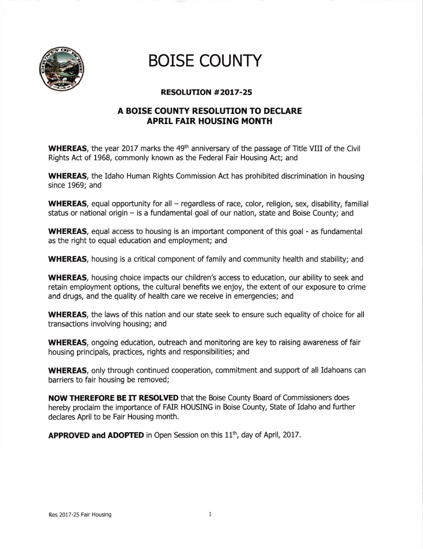

## **BOISE COUNTY**

## RESOLUTION #2OL7.25

## A BOISE COUNTY RESOLUTION TO DECLARE APRIL FAIR HOUSING MONTH

WHEREAS, the year 2017 marks the 49<sup>th</sup> anniversary of the passage of Title VIII of the Civil Rights Act of 1968, commonly known as the Federal Fair Housing Act; and

WHEREAS, the Idaho Human Rights Commission Act has prohibited discrimination in housing since 1969; and

WHEREAS, equal opportunity for all – regardless of race, color, religion, sex, disability, familial status or national origin - is a fundamental goal of our nation, state and Boise County; and

WHEREAS, equal access to housing is an important component of this goal - as fundamental as the right to equal education and employment; and

WHEREAS, housing is a critical component of family and community health and stability; and

WHEREAS, housing choice impacts our children's access to education, our ability to seek and retain employment options, the cultural benefits we enjoy, the extent of our exposure to crime and drugs, and the quality of health care we receive in emergencies; and

WHEREAS, the laws of this nation and our state seek to ensure such equality of choice for all transactions Involving housing; and

WHEREAS, ongoing education, outreach and monitoring are key to raising awareness of fair housing principals, practices, rights and responsibilities; and

WHEREAS, only through continued cooperation, commitment and support of all Idahoans can barriers to fair housing be removed;

NOW THEREFORE BE IT RESOLVED that the Boise County Board of Commissioners does hereby proclaim the importance of FAIR HOUSING in Boise County, State of Idaho and further declares April to be Fair Housing month.

APPROVED and ADOPTED in Open Session on this 11<sup>th</sup>, day of April, 2017.